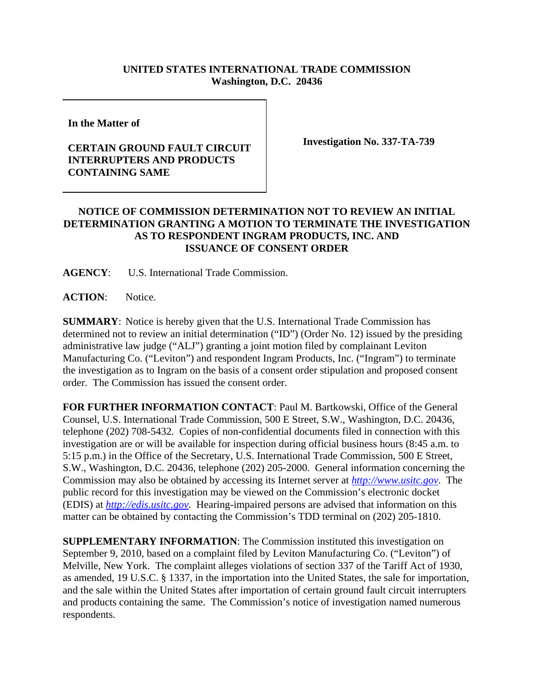## **UNITED STATES INTERNATIONAL TRADE COMMISSION Washington, D.C. 20436**

**In the Matter of** 

## **CERTAIN GROUND FAULT CIRCUIT INTERRUPTERS AND PRODUCTS CONTAINING SAME**

**Investigation No. 337-TA-739**

## **NOTICE OF COMMISSION DETERMINATION NOT TO REVIEW AN INITIAL DETERMINATION GRANTING A MOTION TO TERMINATE THE INVESTIGATION AS TO RESPONDENT INGRAM PRODUCTS, INC. AND ISSUANCE OF CONSENT ORDER**

**AGENCY**: U.S. International Trade Commission.

**ACTION**: Notice.

**SUMMARY**: Notice is hereby given that the U.S. International Trade Commission has determined not to review an initial determination ("ID") (Order No. 12) issued by the presiding administrative law judge ("ALJ") granting a joint motion filed by complainant Leviton Manufacturing Co. ("Leviton") and respondent Ingram Products, Inc. ("Ingram") to terminate the investigation as to Ingram on the basis of a consent order stipulation and proposed consent order. The Commission has issued the consent order.

**FOR FURTHER INFORMATION CONTACT**: Paul M. Bartkowski, Office of the General Counsel, U.S. International Trade Commission, 500 E Street, S.W., Washington, D.C. 20436, telephone (202) 708-5432. Copies of non-confidential documents filed in connection with this investigation are or will be available for inspection during official business hours (8:45 a.m. to 5:15 p.m.) in the Office of the Secretary, U.S. International Trade Commission, 500 E Street, S.W., Washington, D.C. 20436, telephone (202) 205-2000. General information concerning the Commission may also be obtained by accessing its Internet server at *http://www.usitc.gov*. The public record for this investigation may be viewed on the Commission's electronic docket (EDIS) at *http://edis.usitc.gov*. Hearing-impaired persons are advised that information on this matter can be obtained by contacting the Commission's TDD terminal on (202) 205-1810.

**SUPPLEMENTARY INFORMATION**: The Commission instituted this investigation on September 9, 2010, based on a complaint filed by Leviton Manufacturing Co. ("Leviton") of Melville, New York. The complaint alleges violations of section 337 of the Tariff Act of 1930, as amended, 19 U.S.C. § 1337, in the importation into the United States, the sale for importation, and the sale within the United States after importation of certain ground fault circuit interrupters and products containing the same. The Commission's notice of investigation named numerous respondents.